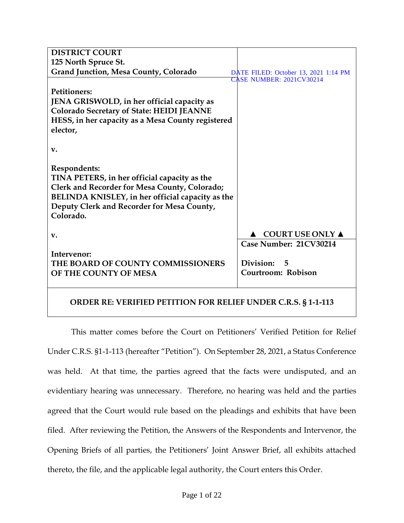| <b>DISTRICT COURT</b>                                                |                                      |
|----------------------------------------------------------------------|--------------------------------------|
| 125 North Spruce St.                                                 |                                      |
| Grand Junction, Mesa County, Colorado                                | DATE FILED: October 13, 2021 1:14 PM |
|                                                                      | <b>CASE NUMBER: 2021CV30214</b>      |
| <b>Petitioners:</b>                                                  |                                      |
| JENA GRISWOLD, in her official capacity as                           |                                      |
| <b>Colorado Secretary of State: HEIDI JEANNE</b>                     |                                      |
| HESS, in her capacity as a Mesa County registered                    |                                      |
| elector,                                                             |                                      |
|                                                                      |                                      |
| v.                                                                   |                                      |
|                                                                      |                                      |
| Respondents:                                                         |                                      |
| TINA PETERS, in her official capacity as the                         |                                      |
| Clerk and Recorder for Mesa County, Colorado;                        |                                      |
| BELINDA KNISLEY, in her official capacity as the                     |                                      |
| Deputy Clerk and Recorder for Mesa County,                           |                                      |
| Colorado.                                                            |                                      |
| v.                                                                   | <b>COURT USE ONLY A</b>              |
|                                                                      | Case Number: 21CV30214               |
| Intervenor:                                                          |                                      |
| THE BOARD OF COUNTY COMMISSIONERS                                    | Division:<br>5                       |
| OF THE COUNTY OF MESA                                                | Courtroom: Robison                   |
|                                                                      |                                      |
|                                                                      |                                      |
| <b>ORDER RE: VERIFIED PETITION FOR RELIEF UNDER C.R.S. § 1-1-113</b> |                                      |

This matter comes before the Court on Petitioners' Verified Petition for Relief Under C.R.S. §1-1-113 (hereafter "Petition"). On September 28, 2021, a Status Conference was held. At that time, the parties agreed that the facts were undisputed, and an evidentiary hearing was unnecessary. Therefore, no hearing was held and the parties agreed that the Court would rule based on the pleadings and exhibits that have been filed. After reviewing the Petition, the Answers of the Respondents and Intervenor, the Opening Briefs of all parties, the Petitioners' Joint Answer Brief, all exhibits attached thereto, the file, and the applicable legal authority, the Court enters this Order.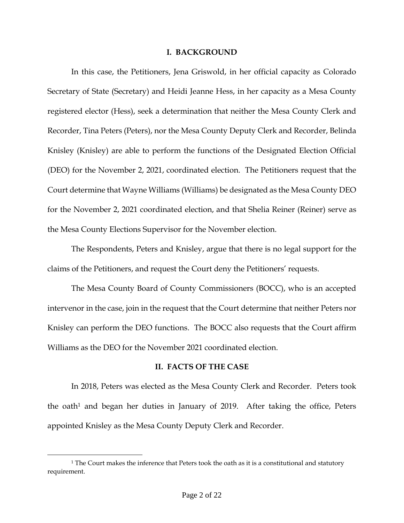#### **I. BACKGROUND**

In this case, the Petitioners, Jena Griswold, in her official capacity as Colorado Secretary of State (Secretary) and Heidi Jeanne Hess, in her capacity as a Mesa County registered elector (Hess), seek a determination that neither the Mesa County Clerk and Recorder, Tina Peters (Peters), nor the Mesa County Deputy Clerk and Recorder, Belinda Knisley (Knisley) are able to perform the functions of the Designated Election Official (DEO) for the November 2, 2021, coordinated election. The Petitioners request that the Court determine that Wayne Williams (Williams) be designated as the Mesa County DEO for the November 2, 2021 coordinated election, and that Shelia Reiner (Reiner) serve as the Mesa County Elections Supervisor for the November election.

The Respondents, Peters and Knisley, argue that there is no legal support for the claims of the Petitioners, and request the Court deny the Petitioners' requests.

The Mesa County Board of County Commissioners (BOCC), who is an accepted intervenor in the case, join in the request that the Court determine that neither Peters nor Knisley can perform the DEO functions. The BOCC also requests that the Court affirm Williams as the DEO for the November 2021 coordinated election.

#### **II. FACTS OF THE CASE**

In 2018, Peters was elected as the Mesa County Clerk and Recorder. Peters took the oath<sup>1</sup> and began her duties in January of 2019. After taking the office, Peters appointed Knisley as the Mesa County Deputy Clerk and Recorder.

<sup>&</sup>lt;sup>1</sup> The Court makes the inference that Peters took the oath as it is a constitutional and statutory requirement.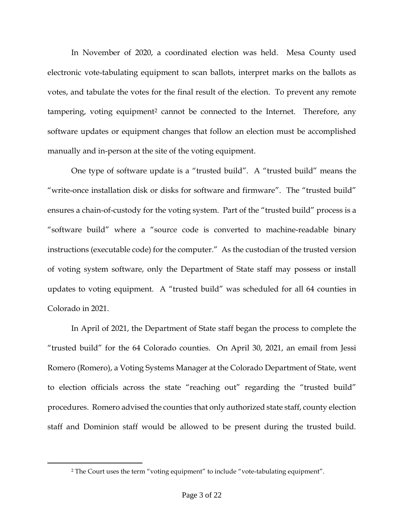In November of 2020, a coordinated election was held. Mesa County used electronic vote-tabulating equipment to scan ballots, interpret marks on the ballots as votes, and tabulate the votes for the final result of the election. To prevent any remote tampering, voting equipment<sup>2</sup> cannot be connected to the Internet. Therefore, any software updates or equipment changes that follow an election must be accomplished manually and in-person at the site of the voting equipment.

One type of software update is a "trusted build". A "trusted build" means the "write-once installation disk or disks for software and firmware". The "trusted build" ensures a chain-of-custody for the voting system. Part of the "trusted build" process is a "software build" where a "source code is converted to machine-readable binary instructions (executable code) for the computer." As the custodian of the trusted version of voting system software, only the Department of State staff may possess or install updates to voting equipment. A "trusted build" was scheduled for all 64 counties in Colorado in 2021.

In April of 2021, the Department of State staff began the process to complete the "trusted build" for the 64 Colorado counties. On April 30, 2021, an email from Jessi Romero (Romero), a Voting Systems Manager at the Colorado Department of State, went to election officials across the state "reaching out" regarding the "trusted build" procedures. Romero advised the counties that only authorized state staff, county election staff and Dominion staff would be allowed to be present during the trusted build.

<sup>&</sup>lt;sup>2</sup> The Court uses the term "voting equipment" to include "vote-tabulating equipment".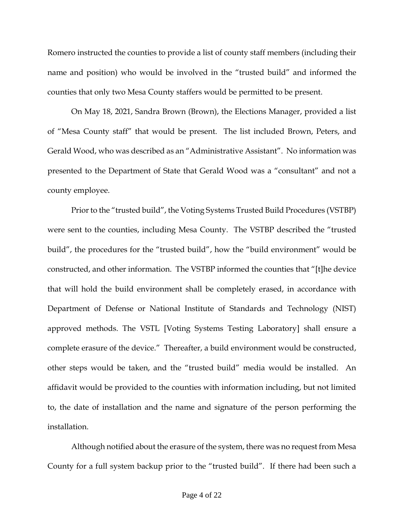Romero instructed the counties to provide a list of county staff members (including their name and position) who would be involved in the "trusted build" and informed the counties that only two Mesa County staffers would be permitted to be present.

On May 18, 2021, Sandra Brown (Brown), the Elections Manager, provided a list of "Mesa County staff" that would be present. The list included Brown, Peters, and Gerald Wood, who was described as an "Administrative Assistant". No information was presented to the Department of State that Gerald Wood was a "consultant" and not a county employee.

Prior to the "trusted build", the Voting Systems Trusted Build Procedures (VSTBP) were sent to the counties, including Mesa County. The VSTBP described the "trusted build", the procedures for the "trusted build", how the "build environment" would be constructed, and other information. The VSTBP informed the counties that "[t]he device that will hold the build environment shall be completely erased, in accordance with Department of Defense or National Institute of Standards and Technology (NIST) approved methods. The VSTL [Voting Systems Testing Laboratory] shall ensure a complete erasure of the device." Thereafter, a build environment would be constructed, other steps would be taken, and the "trusted build" media would be installed. An affidavit would be provided to the counties with information including, but not limited to, the date of installation and the name and signature of the person performing the installation.

Although notified about the erasure of the system, there was no request from Mesa County for a full system backup prior to the "trusted build". If there had been such a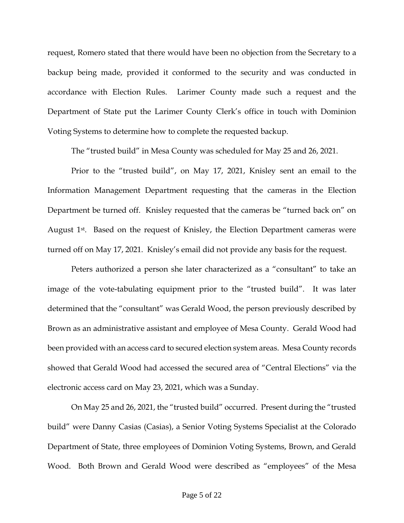request, Romero stated that there would have been no objection from the Secretary to a backup being made, provided it conformed to the security and was conducted in accordance with Election Rules. Larimer County made such a request and the Department of State put the Larimer County Clerk's office in touch with Dominion Voting Systems to determine how to complete the requested backup.

The "trusted build" in Mesa County was scheduled for May 25 and 26, 2021.

Prior to the "trusted build", on May 17, 2021, Knisley sent an email to the Information Management Department requesting that the cameras in the Election Department be turned off. Knisley requested that the cameras be "turned back on" on August 1<sup>st</sup>. Based on the request of Knisley, the Election Department cameras were turned off on May 17, 2021. Knisley's email did not provide any basis for the request.

Peters authorized a person she later characterized as a "consultant" to take an image of the vote-tabulating equipment prior to the "trusted build". It was later determined that the "consultant" was Gerald Wood, the person previously described by Brown as an administrative assistant and employee of Mesa County. Gerald Wood had been provided with an access card to secured election system areas. Mesa County records showed that Gerald Wood had accessed the secured area of "Central Elections" via the electronic access card on May 23, 2021, which was a Sunday.

On May 25 and 26, 2021, the "trusted build" occurred. Present during the "trusted build" were Danny Casias (Casias), a Senior Voting Systems Specialist at the Colorado Department of State, three employees of Dominion Voting Systems, Brown, and Gerald Wood. Both Brown and Gerald Wood were described as "employees" of the Mesa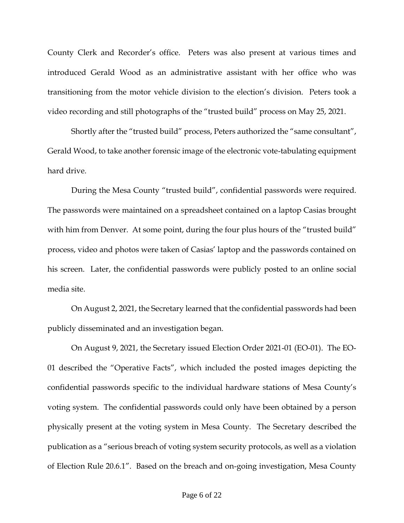County Clerk and Recorder's office. Peters was also present at various times and introduced Gerald Wood as an administrative assistant with her office who was transitioning from the motor vehicle division to the election's division. Peters took a video recording and still photographs of the "trusted build" process on May 25, 2021.

Shortly after the "trusted build" process, Peters authorized the "same consultant", Gerald Wood, to take another forensic image of the electronic vote-tabulating equipment hard drive.

During the Mesa County "trusted build", confidential passwords were required. The passwords were maintained on a spreadsheet contained on a laptop Casias brought with him from Denver. At some point, during the four plus hours of the "trusted build" process, video and photos were taken of Casias' laptop and the passwords contained on his screen. Later, the confidential passwords were publicly posted to an online social media site.

On August 2, 2021, the Secretary learned that the confidential passwords had been publicly disseminated and an investigation began.

On August 9, 2021, the Secretary issued Election Order 2021-01 (EO-01). The EO-01 described the "Operative Facts", which included the posted images depicting the confidential passwords specific to the individual hardware stations of Mesa County's voting system. The confidential passwords could only have been obtained by a person physically present at the voting system in Mesa County. The Secretary described the publication as a "serious breach of voting system security protocols, as well as a violation of Election Rule 20.6.1". Based on the breach and on-going investigation, Mesa County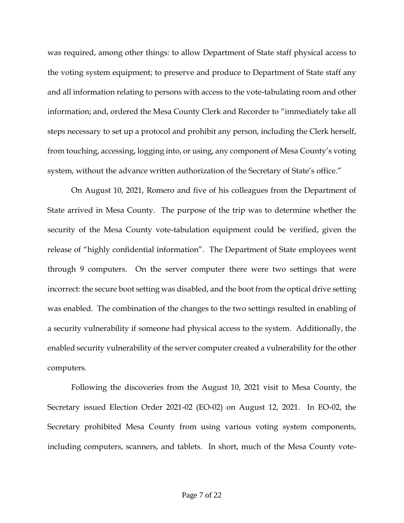was required, among other things: to allow Department of State staff physical access to the voting system equipment; to preserve and produce to Department of State staff any and all information relating to persons with access to the vote-tabulating room and other information; and, ordered the Mesa County Clerk and Recorder to "immediately take all steps necessary to set up a protocol and prohibit any person, including the Clerk herself, from touching, accessing, logging into, or using, any component of Mesa County's voting system, without the advance written authorization of the Secretary of State's office."

On August 10, 2021, Romero and five of his colleagues from the Department of State arrived in Mesa County. The purpose of the trip was to determine whether the security of the Mesa County vote-tabulation equipment could be verified, given the release of "highly confidential information". The Department of State employees went through 9 computers. On the server computer there were two settings that were incorrect: the secure boot setting was disabled, and the boot from the optical drive setting was enabled. The combination of the changes to the two settings resulted in enabling of a security vulnerability if someone had physical access to the system. Additionally, the enabled security vulnerability of the server computer created a vulnerability for the other computers.

Following the discoveries from the August 10, 2021 visit to Mesa County, the Secretary issued Election Order 2021-02 (EO-02) on August 12, 2021. In EO-02, the Secretary prohibited Mesa County from using various voting system components, including computers, scanners, and tablets. In short, much of the Mesa County vote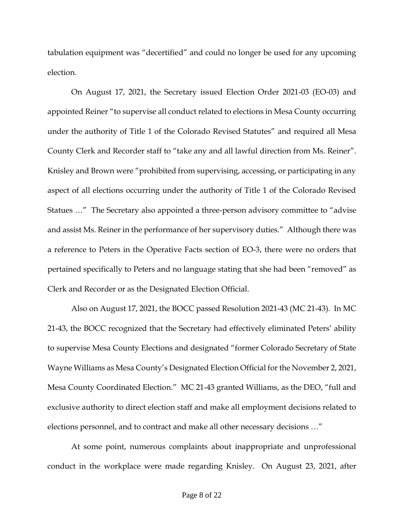tabulation equipment was "decertified" and could no longer be used for any upcoming election.

On August 17, 2021, the Secretary issued Election Order 2021-03 (EO-03) and appointed Reiner "to supervise all conduct related to elections in Mesa County occurring under the authority of Title 1 of the Colorado Revised Statutes" and required all Mesa County Clerk and Recorder staff to "take any and all lawful direction from Ms. Reiner". Knisley and Brown were "prohibited from supervising, accessing, or participating in any aspect of all elections occurring under the authority of Title 1 of the Colorado Revised Statues …" The Secretary also appointed a three-person advisory committee to "advise and assist Ms. Reiner in the performance of her supervisory duties." Although there was a reference to Peters in the Operative Facts section of EO-3, there were no orders that pertained specifically to Peters and no language stating that she had been "removed" as Clerk and Recorder or as the Designated Election Official.

Also on August 17, 2021, the BOCC passed Resolution 2021-43 (MC 21-43). In MC 21-43, the BOCC recognized that the Secretary had effectively eliminated Peters' ability to supervise Mesa County Elections and designated "former Colorado Secretary of State Wayne Williams as Mesa County's Designated Election Official for the November 2, 2021, Mesa County Coordinated Election." MC 21-43 granted Williams, as the DEO, "full and exclusive authority to direct election staff and make all employment decisions related to elections personnel, and to contract and make all other necessary decisions …"

At some point, numerous complaints about inappropriate and unprofessional conduct in the workplace were made regarding Knisley. On August 23, 2021, after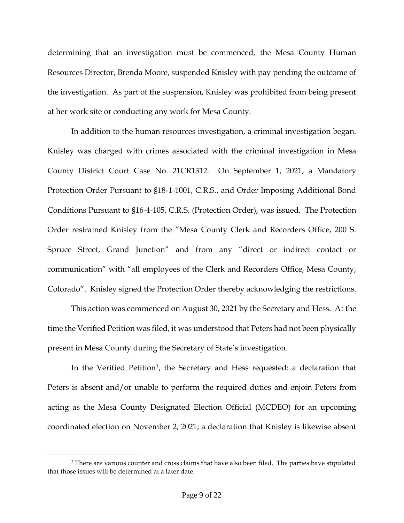determining that an investigation must be commenced, the Mesa County Human Resources Director, Brenda Moore, suspended Knisley with pay pending the outcome of the investigation. As part of the suspension, Knisley was prohibited from being present at her work site or conducting any work for Mesa County.

In addition to the human resources investigation, a criminal investigation began. Knisley was charged with crimes associated with the criminal investigation in Mesa County District Court Case No. 21CR1312. On September 1, 2021, a Mandatory Protection Order Pursuant to §18-1-1001, C.R.S., and Order Imposing Additional Bond Conditions Pursuant to §16-4-105, C.R.S. (Protection Order), was issued. The Protection Order restrained Knisley from the "Mesa County Clerk and Recorders Office, 200 S. Spruce Street, Grand Junction" and from any "direct or indirect contact or communication" with "all employees of the Clerk and Recorders Office, Mesa County, Colorado". Knisley signed the Protection Order thereby acknowledging the restrictions.

This action was commenced on August 30, 2021 by the Secretary and Hess. At the time the Verified Petition was filed, it was understood that Peters had not been physically present in Mesa County during the Secretary of State's investigation.

In the Verified Petition<sup>3</sup>, the Secretary and Hess requested: a declaration that Peters is absent and/or unable to perform the required duties and enjoin Peters from acting as the Mesa County Designated Election Official (MCDEO) for an upcoming coordinated election on November 2, 2021; a declaration that Knisley is likewise absent

<sup>&</sup>lt;sup>3</sup> There are various counter and cross claims that have also been filed. The parties have stipulated that those issues will be determined at a later date.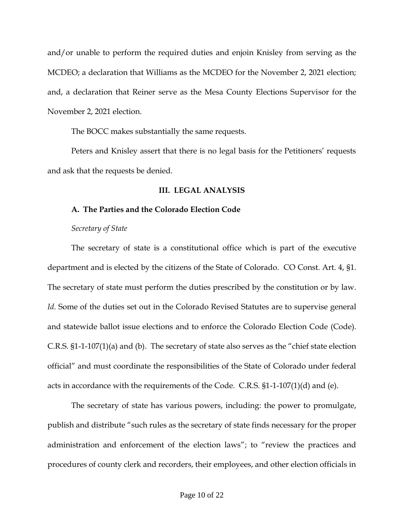and/or unable to perform the required duties and enjoin Knisley from serving as the MCDEO; a declaration that Williams as the MCDEO for the November 2, 2021 election; and, a declaration that Reiner serve as the Mesa County Elections Supervisor for the November 2, 2021 election.

The BOCC makes substantially the same requests.

Peters and Knisley assert that there is no legal basis for the Petitioners' requests and ask that the requests be denied.

## **III. LEGAL ANALYSIS**

# **A. The Parties and the Colorado Election Code**

# *Secretary of State*

The secretary of state is a constitutional office which is part of the executive department and is elected by the citizens of the State of Colorado. CO Const. Art. 4, §1. The secretary of state must perform the duties prescribed by the constitution or by law. *Id.* Some of the duties set out in the Colorado Revised Statutes are to supervise general and statewide ballot issue elections and to enforce the Colorado Election Code (Code). C.R.S. §1-1-107(1)(a) and (b). The secretary of state also serves as the "chief state election official" and must coordinate the responsibilities of the State of Colorado under federal acts in accordance with the requirements of the Code. C.R.S. §1-1-107(1)(d) and (e).

The secretary of state has various powers, including: the power to promulgate, publish and distribute "such rules as the secretary of state finds necessary for the proper administration and enforcement of the election laws"; to "review the practices and procedures of county clerk and recorders, their employees, and other election officials in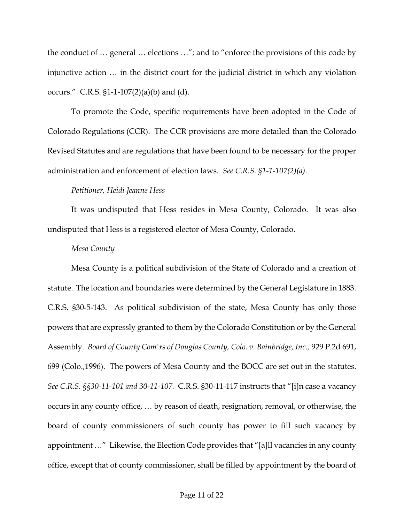the conduct of … general … elections …"; and to "enforce the provisions of this code by injunctive action … in the district court for the judicial district in which any violation occurs." C.R.S.  $$1-1-107(2)(a)(b)$  and (d).

To promote the Code, specific requirements have been adopted in the Code of Colorado Regulations (CCR). The CCR provisions are more detailed than the Colorado Revised Statutes and are regulations that have been found to be necessary for the proper administration and enforcement of election laws. *See C.R.S. §1-1-107(2)(a).*

### *Petitioner, Heidi Jeanne Hess*

It was undisputed that Hess resides in Mesa County, Colorado. It was also undisputed that Hess is a registered elector of Mesa County, Colorado.

### *Mesa County*

Mesa County is a political subdivision of the State of Colorado and a creation of statute. The location and boundaries were determined by the General Legislature in 1883. C.R.S. §30-5-143. As political subdivision of the state, Mesa County has only those powers that are expressly granted to them by the Colorado Constitution or by the General Assembly. *Board of County Com'rs of Douglas County, Colo. v. Bainbridge, Inc.,* 929 P.2d 691, 699 (Colo.,1996). The powers of Mesa County and the BOCC are set out in the statutes. *See C.R.S. §§30-11-101 and 30-11-107.* C.R.S. §30-11-117 instructs that "[i]n case a vacancy occurs in any county office, … by reason of death, resignation, removal, or otherwise, the board of county commissioners of such county has power to fill such vacancy by appointment …" Likewise, the Election Code provides that "[a]ll vacancies in any county office, except that of county commissioner, shall be filled by appointment by the board of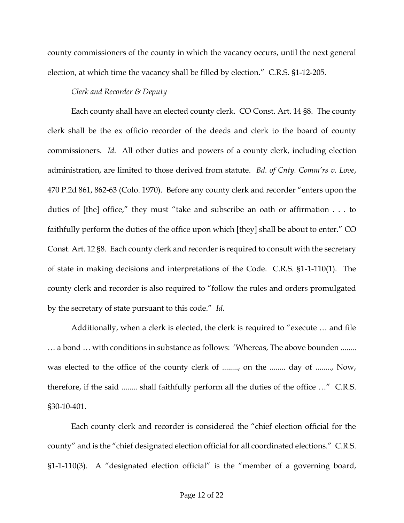county commissioners of the county in which the vacancy occurs, until the next general election, at which time the vacancy shall be filled by election." C.R.S. §1-12-205.

## *Clerk and Recorder & Deputy*

Each county shall have an elected county clerk. CO Const. Art. 14 §8. The county clerk shall be the ex officio recorder of the deeds and clerk to the board of county commissioners. *Id.* All other duties and powers of a county clerk, including election administration, are limited to those derived from statute. *Bd. of Cnty. Comm'rs v. Love*, 470 P.2d 861, 862-63 (Colo. 1970). Before any county clerk and recorder "enters upon the duties of [the] office," they must "take and subscribe an oath or affirmation . . . to faithfully perform the duties of the office upon which [they] shall be about to enter." CO Const. Art. 12 §8. Each county clerk and recorder is required to consult with the secretary of state in making decisions and interpretations of the Code. C.R.S. §1-1-110(1). The county clerk and recorder is also required to "follow the rules and orders promulgated by the secretary of state pursuant to this code." *Id.* 

Additionally, when a clerk is elected, the clerk is required to "execute … and file … a bond … with conditions in substance as follows: 'Whereas, The above bounden ........ was elected to the office of the county clerk of ........, on the ......... day of ........, Now, therefore, if the said ........ shall faithfully perform all the duties of the office …" C.R.S. §30-10-401.

Each county clerk and recorder is considered the "chief election official for the county" and is the "chief designated election official for all coordinated elections." C.R.S. §1-1-110(3). A "designated election official" is the "member of a governing board,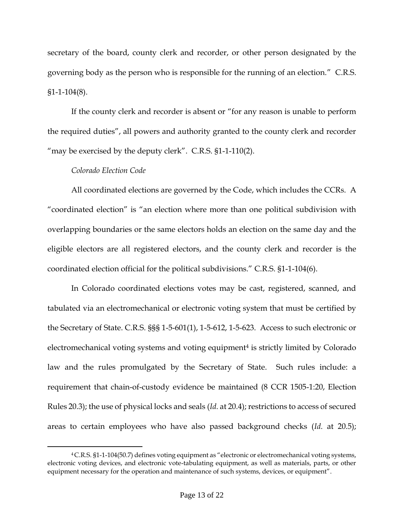secretary of the board, county clerk and recorder, or other person designated by the governing body as the person who is responsible for the running of an election." C.R.S. §1-1-104(8).

If the county clerk and recorder is absent or "for any reason is unable to perform the required duties", all powers and authority granted to the county clerk and recorder "may be exercised by the deputy clerk". C.R.S. §1-1-110(2).

## *Colorado Election Code*

All coordinated elections are governed by the Code, which includes the CCRs. A "coordinated election" is "an election where more than one political subdivision with overlapping boundaries or the same electors holds an election on the same day and the eligible electors are all registered electors, and the county clerk and recorder is the coordinated election official for the political subdivisions." C.R.S. §1-1-104(6).

In Colorado coordinated elections votes may be cast, registered, scanned, and tabulated via an electromechanical or electronic voting system that must be certified by the Secretary of State. C.R.S. §§§ 1-5-601(1), 1-5-612, 1-5-623. Access to such electronic or electromechanical voting systems and voting equipment<sup>4</sup> is strictly limited by Colorado law and the rules promulgated by the Secretary of State. Such rules include: a requirement that chain-of-custody evidence be maintained (8 CCR 1505-1:20, Election Rules 20.3); the use of physical locks and seals (*Id.* at 20.4); restrictions to access of secured areas to certain employees who have also passed background checks (*Id.* at 20.5);

<sup>4</sup>C.R.S. §1-1-104(50.7) defines voting equipment as "electronic or electromechanical voting systems, electronic voting devices, and electronic vote-tabulating equipment, as well as materials, parts, or other equipment necessary for the operation and maintenance of such systems, devices, or equipment".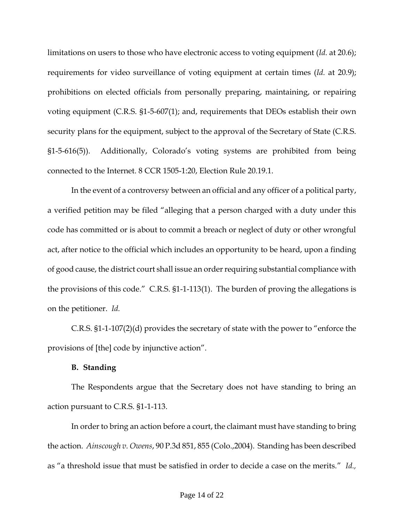limitations on users to those who have electronic access to voting equipment (*Id.* at 20.6); requirements for video surveillance of voting equipment at certain times (*Id.* at 20.9); prohibitions on elected officials from personally preparing, maintaining, or repairing voting equipment (C.R.S. §1-5-607(1); and, requirements that DEOs establish their own security plans for the equipment, subject to the approval of the Secretary of State (C.R.S. §1-5-616(5)). Additionally, Colorado's voting systems are prohibited from being connected to the Internet. 8 CCR 1505-1:20, Election Rule 20.19.1.

In the event of a controversy between an official and any officer of a political party, a verified petition may be filed "alleging that a person charged with a duty under this code has committed or is about to commit a breach or neglect of duty or other wrongful act, after notice to the official which includes an opportunity to be heard, upon a finding of good cause, the district court shall issue an order requiring substantial compliance with the provisions of this code." C.R.S. §1-1-113(1). The burden of proving the allegations is on the petitioner. *Id.*

C.R.S. §1-1-107(2)(d) provides the secretary of state with the power to "enforce the provisions of [the] code by injunctive action".

#### **B. Standing**

The Respondents argue that the Secretary does not have standing to bring an action pursuant to C.R.S. §1-1-113.

In order to bring an action before a court, the claimant must have standing to bring the action. *Ainscough v. Owens*, 90 P.3d 851, 855 (Colo.,2004). Standing has been described as "a threshold issue that must be satisfied in order to decide a case on the merits." *Id.,*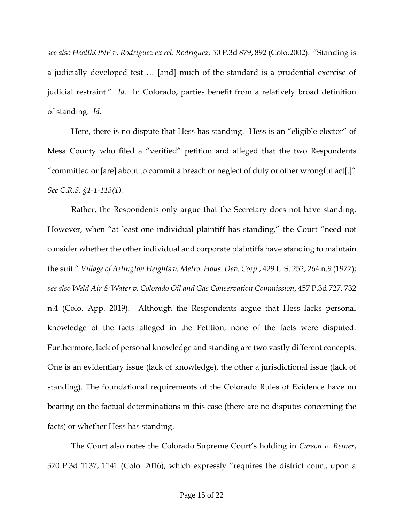*see also HealthONE v. Rodriguez ex rel. Rodriguez,* 50 P.3d 879, 892 (Colo.2002). "Standing is a judicially developed test … [and] much of the standard is a prudential exercise of judicial restraint." *Id.* In Colorado, parties benefit from a relatively broad definition of standing. *Id.*

Here, there is no dispute that Hess has standing. Hess is an "eligible elector" of Mesa County who filed a "verified" petition and alleged that the two Respondents "committed or [are] about to commit a breach or neglect of duty or other wrongful act[.]" *See C.R.S. §1-1-113(1).*

Rather, the Respondents only argue that the Secretary does not have standing. However, when "at least one individual plaintiff has standing," the Court "need not consider whether the other individual and corporate plaintiffs have standing to maintain the suit." *Village of Arlington Heights v. Metro. Hous. Dev. Corp*., 429 U.S. 252, 264 n.9 (1977); *see also Weld Air & Water v. Colorado Oil and Gas Conservation Commission*, 457 P.3d 727, 732 n.4 (Colo. App. 2019). Although the Respondents argue that Hess lacks personal knowledge of the facts alleged in the Petition, none of the facts were disputed. Furthermore, lack of personal knowledge and standing are two vastly different concepts. One is an evidentiary issue (lack of knowledge), the other a jurisdictional issue (lack of standing). The foundational requirements of the Colorado Rules of Evidence have no bearing on the factual determinations in this case (there are no disputes concerning the facts) or whether Hess has standing.

The Court also notes the Colorado Supreme Court's holding in *Carson v. Reiner*, 370 P.3d 1137, 1141 (Colo. 2016), which expressly "requires the district court, upon a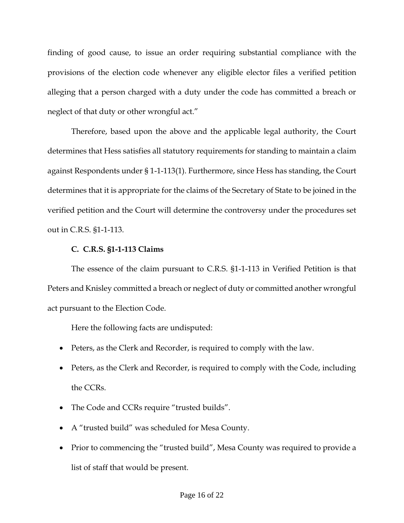finding of good cause, to issue an order requiring substantial compliance with the provisions of the election code whenever any eligible elector files a verified petition alleging that a person charged with a duty under the code has committed a breach or neglect of that duty or other wrongful act."

Therefore, based upon the above and the applicable legal authority, the Court determines that Hess satisfies all statutory requirements for standing to maintain a claim against Respondents under § 1-1-113(1). Furthermore, since Hess has standing, the Court determines that it is appropriate for the claims of the Secretary of State to be joined in the verified petition and the Court will determine the controversy under the procedures set out in C.R.S. §1-1-113.

## **C. C.R.S. §1-1-113 Claims**

The essence of the claim pursuant to C.R.S. §1-1-113 in Verified Petition is that Peters and Knisley committed a breach or neglect of duty or committed another wrongful act pursuant to the Election Code.

Here the following facts are undisputed:

- Peters, as the Clerk and Recorder, is required to comply with the law.
- Peters, as the Clerk and Recorder, is required to comply with the Code, including the CCRs.
- The Code and CCRs require "trusted builds".
- A "trusted build" was scheduled for Mesa County.
- Prior to commencing the "trusted build", Mesa County was required to provide a list of staff that would be present.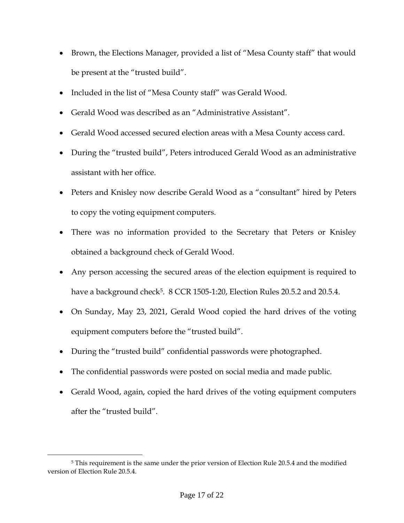- Brown, the Elections Manager, provided a list of "Mesa County staff" that would be present at the "trusted build".
- Included in the list of "Mesa County staff" was Gerald Wood.
- Gerald Wood was described as an "Administrative Assistant".
- Gerald Wood accessed secured election areas with a Mesa County access card.
- During the "trusted build", Peters introduced Gerald Wood as an administrative assistant with her office.
- Peters and Knisley now describe Gerald Wood as a "consultant" hired by Peters to copy the voting equipment computers.
- There was no information provided to the Secretary that Peters or Knisley obtained a background check of Gerald Wood.
- Any person accessing the secured areas of the election equipment is required to have a background check<sup>5</sup>. 8 CCR 1505-1:20, Election Rules 20.5.2 and 20.5.4.
- On Sunday, May 23, 2021, Gerald Wood copied the hard drives of the voting equipment computers before the "trusted build".
- During the "trusted build" confidential passwords were photographed.
- The confidential passwords were posted on social media and made public.
- Gerald Wood, again, copied the hard drives of the voting equipment computers after the "trusted build".

<sup>5</sup> This requirement is the same under the prior version of Election Rule 20.5.4 and the modified version of Election Rule 20.5.4.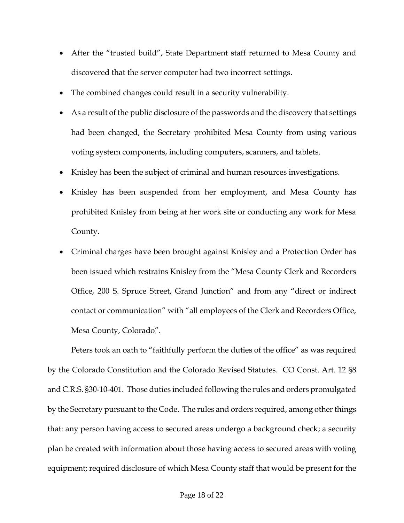- After the "trusted build", State Department staff returned to Mesa County and discovered that the server computer had two incorrect settings.
- The combined changes could result in a security vulnerability.
- As a result of the public disclosure of the passwords and the discovery that settings had been changed, the Secretary prohibited Mesa County from using various voting system components, including computers, scanners, and tablets.
- Knisley has been the subject of criminal and human resources investigations.
- Knisley has been suspended from her employment, and Mesa County has prohibited Knisley from being at her work site or conducting any work for Mesa County.
- Criminal charges have been brought against Knisley and a Protection Order has been issued which restrains Knisley from the "Mesa County Clerk and Recorders Office, 200 S. Spruce Street, Grand Junction" and from any "direct or indirect contact or communication" with "all employees of the Clerk and Recorders Office, Mesa County, Colorado".

Peters took an oath to "faithfully perform the duties of the office" as was required by the Colorado Constitution and the Colorado Revised Statutes. CO Const. Art. 12 §8 and C.R.S. §30-10-401. Those duties included following the rules and orders promulgated by the Secretary pursuant to the Code. The rules and orders required, among other things that: any person having access to secured areas undergo a background check; a security plan be created with information about those having access to secured areas with voting equipment; required disclosure of which Mesa County staff that would be present for the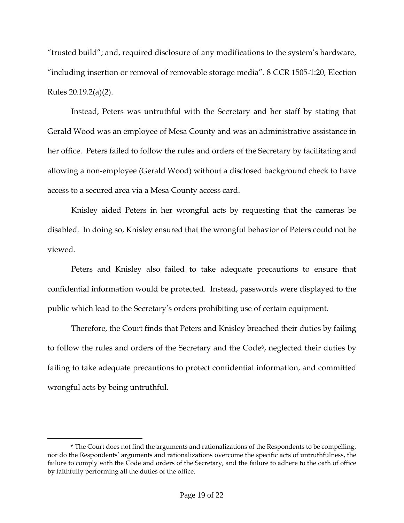"trusted build"; and, required disclosure of any modifications to the system's hardware, "including insertion or removal of removable storage media". 8 CCR 1505-1:20, Election Rules 20.19.2(a)(2).

Instead, Peters was untruthful with the Secretary and her staff by stating that Gerald Wood was an employee of Mesa County and was an administrative assistance in her office. Peters failed to follow the rules and orders of the Secretary by facilitating and allowing a non-employee (Gerald Wood) without a disclosed background check to have access to a secured area via a Mesa County access card.

Knisley aided Peters in her wrongful acts by requesting that the cameras be disabled. In doing so, Knisley ensured that the wrongful behavior of Peters could not be viewed.

Peters and Knisley also failed to take adequate precautions to ensure that confidential information would be protected. Instead, passwords were displayed to the public which lead to the Secretary's orders prohibiting use of certain equipment.

Therefore, the Court finds that Peters and Knisley breached their duties by failing to follow the rules and orders of the Secretary and the Code<sup>6</sup>, neglected their duties by failing to take adequate precautions to protect confidential information, and committed wrongful acts by being untruthful.

<sup>&</sup>lt;sup>6</sup> The Court does not find the arguments and rationalizations of the Respondents to be compelling, nor do the Respondents' arguments and rationalizations overcome the specific acts of untruthfulness, the failure to comply with the Code and orders of the Secretary, and the failure to adhere to the oath of office by faithfully performing all the duties of the office.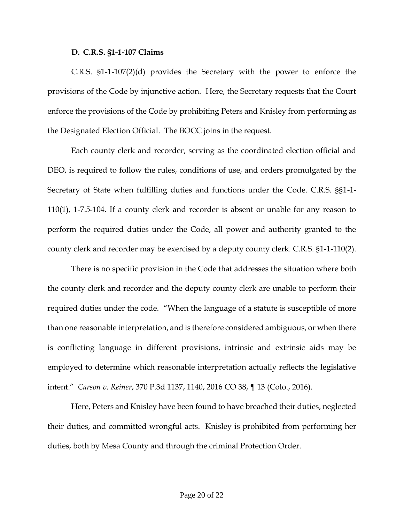## **D. C.R.S. §1-1-107 Claims**

C.R.S. §1-1-107(2)(d) provides the Secretary with the power to enforce the provisions of the Code by injunctive action. Here, the Secretary requests that the Court enforce the provisions of the Code by prohibiting Peters and Knisley from performing as the Designated Election Official. The BOCC joins in the request.

Each county clerk and recorder, serving as the coordinated election official and DEO, is required to follow the rules, conditions of use, and orders promulgated by the Secretary of State when fulfilling duties and functions under the Code. C.R.S. §§1-1- 110(1), 1-7.5-104. If a county clerk and recorder is absent or unable for any reason to perform the required duties under the Code, all power and authority granted to the county clerk and recorder may be exercised by a deputy county clerk. C.R.S. §1-1-110(2).

There is no specific provision in the Code that addresses the situation where both the county clerk and recorder and the deputy county clerk are unable to perform their required duties under the code. "When the language of a statute is susceptible of more than one reasonable interpretation, and is therefore considered ambiguous, or when there is conflicting language in different provisions, intrinsic and extrinsic aids may be employed to determine which reasonable interpretation actually reflects the legislative intent." *Carson v. Reiner*, 370 P.3d 1137, 1140, 2016 CO 38, ¶ 13 (Colo., 2016).

Here, Peters and Knisley have been found to have breached their duties, neglected their duties, and committed wrongful acts. Knisley is prohibited from performing her duties, both by Mesa County and through the criminal Protection Order.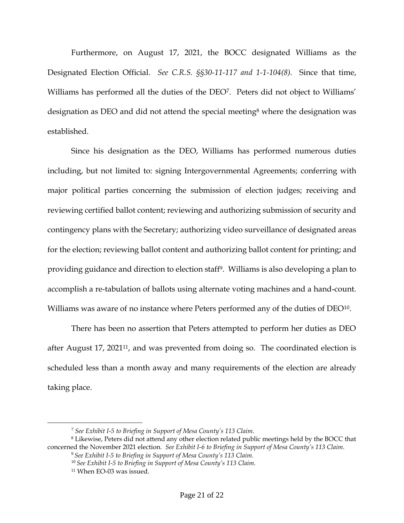Furthermore, on August 17, 2021, the BOCC designated Williams as the Designated Election Official. *See C.R.S. §§30-11-117 and 1-1-104(8).* Since that time, Williams has performed all the duties of the DEO7. Peters did not object to Williams' designation as DEO and did not attend the special meeting<sup>8</sup> where the designation was established.

Since his designation as the DEO, Williams has performed numerous duties including, but not limited to: signing Intergovernmental Agreements; conferring with major political parties concerning the submission of election judges; receiving and reviewing certified ballot content; reviewing and authorizing submission of security and contingency plans with the Secretary; authorizing video surveillance of designated areas for the election; reviewing ballot content and authorizing ballot content for printing; and providing guidance and direction to election staff9. Williams is also developing a plan to accomplish a re-tabulation of ballots using alternate voting machines and a hand-count. Williams was aware of no instance where Peters performed any of the duties of DEO<sup>10</sup>.

There has been no assertion that Peters attempted to perform her duties as DEO after August 17, 202111, and was prevented from doing so. The coordinated election is scheduled less than a month away and many requirements of the election are already taking place.

<sup>7</sup> *See Exhibit I-5 to Briefing in Support of Mesa County's 113 Claim.*

<sup>8</sup> Likewise, Peters did not attend any other election related public meetings held by the BOCC that concerned the November 2021 election. *See Exhibit I-6 to Briefing in Support of Mesa County's 113 Claim.*

<sup>9</sup> *See Exhibit I-5 to Briefing in Support of Mesa County's 113 Claim.*

<sup>10</sup> *See Exhibit I-5 to Briefing in Support of Mesa County's 113 Claim.*

<sup>11</sup> When EO-03 was issued.